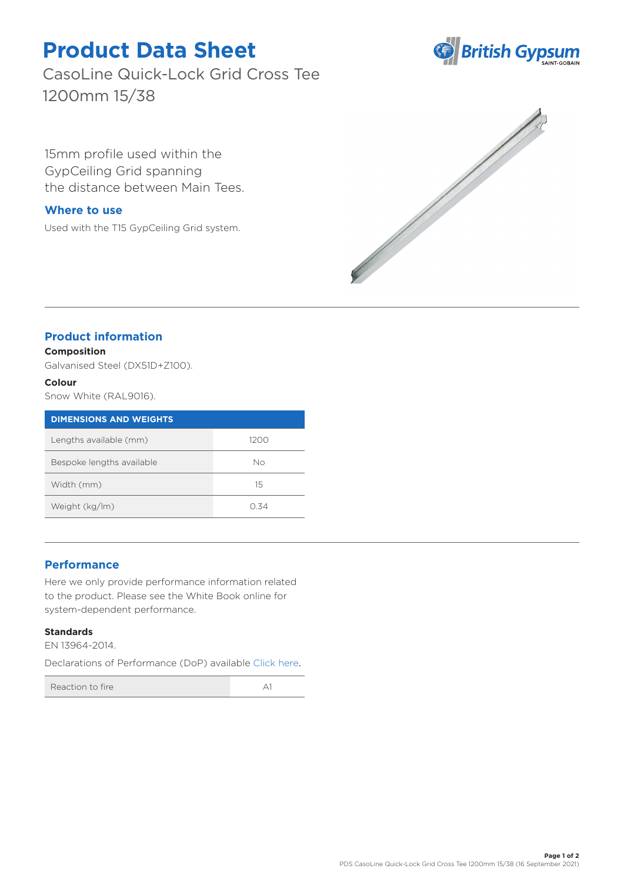# **Product Data Sheet**

CasoLine Quick-Lock Grid Cross Tee 1200mm 15/38

15mm profile used within the GypCeiling Grid spanning the distance between Main Tees.

## **Where to use**

Used with the T15 GypCeiling Grid system.





## **Product information**

#### **Composition**

Galvanised Steel (DX51D+Z100).

#### **Colour**

Snow White (RAL9016).

| <b>DIMENSIONS AND WEIGHTS</b> |      |
|-------------------------------|------|
| Lengths available (mm)        | 1200 |
| Bespoke lengths available     | Nο   |
| Width (mm)                    | 15   |
| Weight (kg/lm)                | N 34 |

## **Performance**

Here we only provide performance information related to the product. Please see the White Book online for system-dependent performance.

#### **Standards**

EN 13964-2014.

Declarations of Performance (DoP) available [Click here](https://www.british-gypsum.com/DoP).

Reaction to fire A1